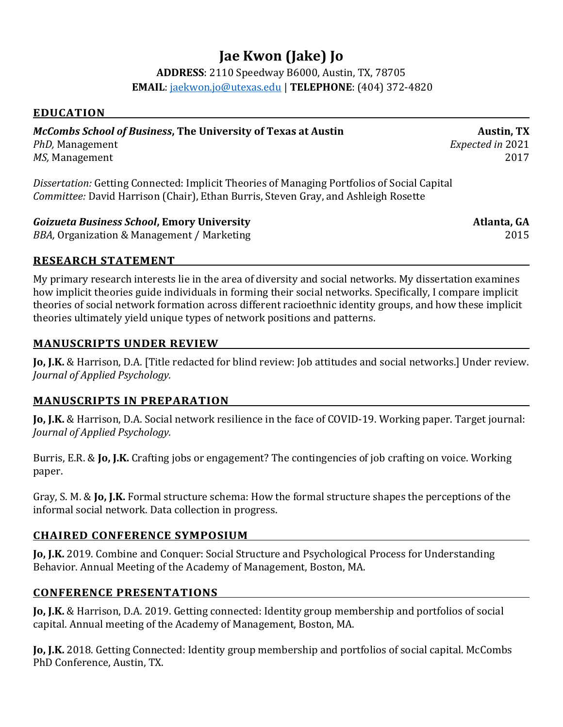# **Jae Kwon (Jake) Jo**

**ADDRESS**: 2110 Speedway B6000, Austin, TX, 78705 **EMAIL**: jaekwon.jo@utexas.edu | **TELEPHONE**: (404) 372-4820

#### **EDUCATION**

#### *McCombs School of Business*, The University of Texas at Austin **Austin Austin**, TX *PhD,* Management *Expected in* 2021 *MS,* Management 2017

*Dissertation:* Getting Connected: Implicit Theories of Managing Portfolios of Social Capital *Committee:* David Harrison (Chair), Ethan Burris, Steven Gray, and Ashleigh Rosette

*Goizueta Business School***, Emory University Atlanta, GA**

*BBA,* Organization & Management / Marketing 2015

### **RESEARCH STATEMENT**

My primary research interests lie in the area of diversity and social networks. My dissertation examines how implicit theories guide individuals in forming their social networks. Specifically, I compare implicit theories of social network formation across different racioethnic identity groups, and how these implicit theories ultimately yield unique types of network positions and patterns.

#### **MANUSCRIPTS UNDER REVIEW**

**Jo, J.K.** & Harrison, D.A. [Title redacted for blind review: Job attitudes and social networks.] Under review. *Journal of Applied Psychology.*

## **MANUSCRIPTS IN PREPARATION**

**Jo, J.K.** & Harrison, D.A. Social network resilience in the face of COVID-19. Working paper. Target journal: *Journal of Applied Psychology.*

Burris, E.R. & **Jo, J.K.** Crafting jobs or engagement? The contingencies of job crafting on voice. Working paper.

Gray, S. M. & **Jo, J.K.** Formal structure schema: How the formal structure shapes the perceptions of the informal social network. Data collection in progress.

## **CHAIRED CONFERENCE SYMPOSIUM**

**Jo, J.K.** 2019. Combine and Conquer: Social Structure and Psychological Process for Understanding Behavior. Annual Meeting of the Academy of Management, Boston, MA.

## **CONFERENCE PRESENTATIONS**

**Jo, J.K.** & Harrison, D.A. 2019. Getting connected: Identity group membership and portfolios of social capital. Annual meeting of the Academy of Management, Boston, MA.

**Jo, J.K.** 2018. Getting Connected: Identity group membership and portfolios of social capital. McCombs PhD Conference, Austin, TX.